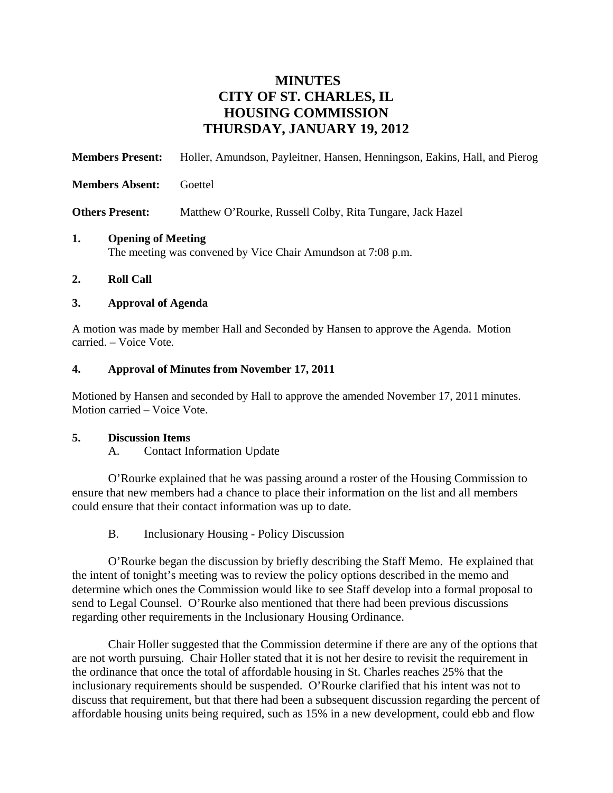# **MINUTES CITY OF ST. CHARLES, IL HOUSING COMMISSION THURSDAY, JANUARY 19, 2012**

| <b>Members Present:</b>                                                                         | Holler, Amundson, Payleitner, Hansen, Henningson, Eakins, Hall, and Pierog |
|-------------------------------------------------------------------------------------------------|----------------------------------------------------------------------------|
| <b>Members Absent:</b>                                                                          | Goettel                                                                    |
| <b>Others Present:</b>                                                                          | Matthew O'Rourke, Russell Colby, Rita Tungare, Jack Hazel                  |
| 1.<br><b>Opening of Meeting</b><br>The meeting was convened by Vice Chair Amundson at 7:08 p.m. |                                                                            |

**2. Roll Call** 

### **3. Approval of Agenda**

A motion was made by member Hall and Seconded by Hansen to approve the Agenda. Motion carried. – Voice Vote.

## **4. Approval of Minutes from November 17, 2011**

Motioned by Hansen and seconded by Hall to approve the amended November 17, 2011 minutes. Motion carried – Voice Vote.

### **5. Discussion Items**

A. Contact Information Update

O'Rourke explained that he was passing around a roster of the Housing Commission to ensure that new members had a chance to place their information on the list and all members could ensure that their contact information was up to date.

B. Inclusionary Housing - Policy Discussion

O'Rourke began the discussion by briefly describing the Staff Memo. He explained that the intent of tonight's meeting was to review the policy options described in the memo and determine which ones the Commission would like to see Staff develop into a formal proposal to send to Legal Counsel. O'Rourke also mentioned that there had been previous discussions regarding other requirements in the Inclusionary Housing Ordinance.

Chair Holler suggested that the Commission determine if there are any of the options that are not worth pursuing. Chair Holler stated that it is not her desire to revisit the requirement in the ordinance that once the total of affordable housing in St. Charles reaches 25% that the inclusionary requirements should be suspended. O'Rourke clarified that his intent was not to discuss that requirement, but that there had been a subsequent discussion regarding the percent of affordable housing units being required, such as 15% in a new development, could ebb and flow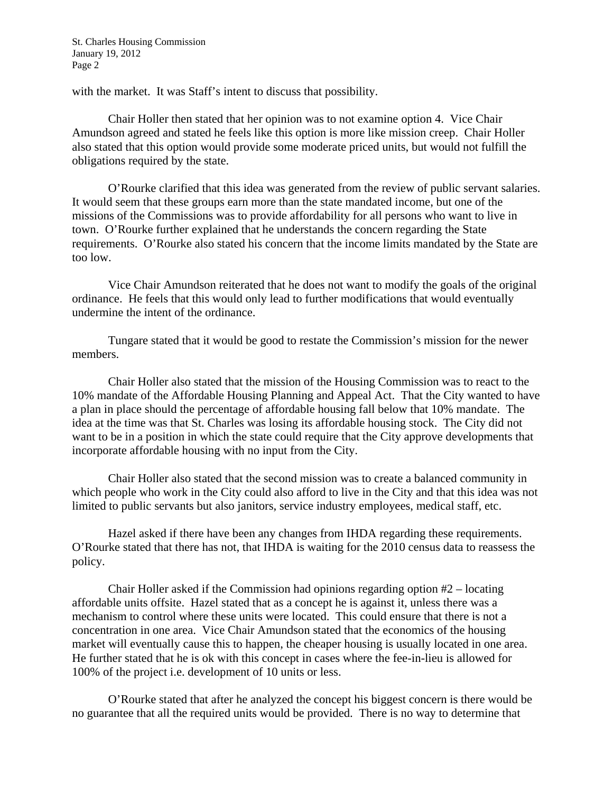with the market. It was Staff's intent to discuss that possibility.

Chair Holler then stated that her opinion was to not examine option 4. Vice Chair Amundson agreed and stated he feels like this option is more like mission creep. Chair Holler also stated that this option would provide some moderate priced units, but would not fulfill the obligations required by the state.

O'Rourke clarified that this idea was generated from the review of public servant salaries. It would seem that these groups earn more than the state mandated income, but one of the missions of the Commissions was to provide affordability for all persons who want to live in town. O'Rourke further explained that he understands the concern regarding the State requirements. O'Rourke also stated his concern that the income limits mandated by the State are too low.

Vice Chair Amundson reiterated that he does not want to modify the goals of the original ordinance. He feels that this would only lead to further modifications that would eventually undermine the intent of the ordinance.

Tungare stated that it would be good to restate the Commission's mission for the newer members.

Chair Holler also stated that the mission of the Housing Commission was to react to the 10% mandate of the Affordable Housing Planning and Appeal Act. That the City wanted to have a plan in place should the percentage of affordable housing fall below that 10% mandate. The idea at the time was that St. Charles was losing its affordable housing stock. The City did not want to be in a position in which the state could require that the City approve developments that incorporate affordable housing with no input from the City.

Chair Holler also stated that the second mission was to create a balanced community in which people who work in the City could also afford to live in the City and that this idea was not limited to public servants but also janitors, service industry employees, medical staff, etc.

Hazel asked if there have been any changes from IHDA regarding these requirements. O'Rourke stated that there has not, that IHDA is waiting for the 2010 census data to reassess the policy.

Chair Holler asked if the Commission had opinions regarding option #2 – locating affordable units offsite. Hazel stated that as a concept he is against it, unless there was a mechanism to control where these units were located. This could ensure that there is not a concentration in one area. Vice Chair Amundson stated that the economics of the housing market will eventually cause this to happen, the cheaper housing is usually located in one area. He further stated that he is ok with this concept in cases where the fee-in-lieu is allowed for 100% of the project i.e. development of 10 units or less.

O'Rourke stated that after he analyzed the concept his biggest concern is there would be no guarantee that all the required units would be provided. There is no way to determine that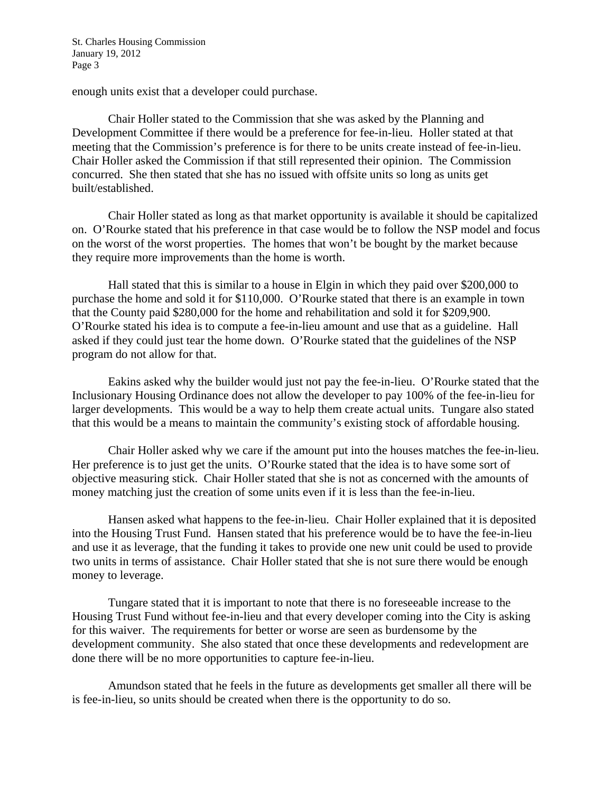enough units exist that a developer could purchase.

Chair Holler stated to the Commission that she was asked by the Planning and Development Committee if there would be a preference for fee-in-lieu. Holler stated at that meeting that the Commission's preference is for there to be units create instead of fee-in-lieu. Chair Holler asked the Commission if that still represented their opinion. The Commission concurred. She then stated that she has no issued with offsite units so long as units get built/established.

Chair Holler stated as long as that market opportunity is available it should be capitalized on. O'Rourke stated that his preference in that case would be to follow the NSP model and focus on the worst of the worst properties. The homes that won't be bought by the market because they require more improvements than the home is worth.

Hall stated that this is similar to a house in Elgin in which they paid over \$200,000 to purchase the home and sold it for \$110,000. O'Rourke stated that there is an example in town that the County paid \$280,000 for the home and rehabilitation and sold it for \$209,900. O'Rourke stated his idea is to compute a fee-in-lieu amount and use that as a guideline. Hall asked if they could just tear the home down. O'Rourke stated that the guidelines of the NSP program do not allow for that.

Eakins asked why the builder would just not pay the fee-in-lieu. O'Rourke stated that the Inclusionary Housing Ordinance does not allow the developer to pay 100% of the fee-in-lieu for larger developments. This would be a way to help them create actual units. Tungare also stated that this would be a means to maintain the community's existing stock of affordable housing.

Chair Holler asked why we care if the amount put into the houses matches the fee-in-lieu. Her preference is to just get the units. O'Rourke stated that the idea is to have some sort of objective measuring stick. Chair Holler stated that she is not as concerned with the amounts of money matching just the creation of some units even if it is less than the fee-in-lieu.

Hansen asked what happens to the fee-in-lieu. Chair Holler explained that it is deposited into the Housing Trust Fund. Hansen stated that his preference would be to have the fee-in-lieu and use it as leverage, that the funding it takes to provide one new unit could be used to provide two units in terms of assistance. Chair Holler stated that she is not sure there would be enough money to leverage.

Tungare stated that it is important to note that there is no foreseeable increase to the Housing Trust Fund without fee-in-lieu and that every developer coming into the City is asking for this waiver. The requirements for better or worse are seen as burdensome by the development community. She also stated that once these developments and redevelopment are done there will be no more opportunities to capture fee-in-lieu.

Amundson stated that he feels in the future as developments get smaller all there will be is fee-in-lieu, so units should be created when there is the opportunity to do so.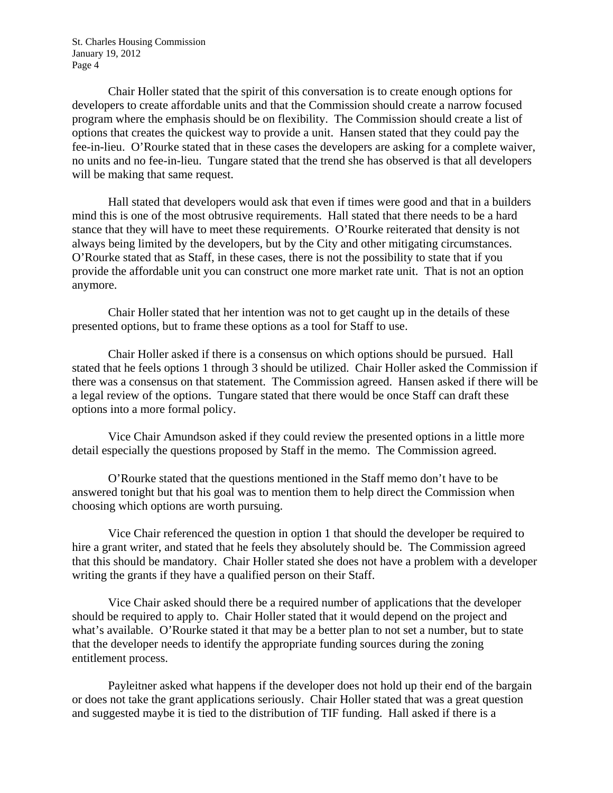Chair Holler stated that the spirit of this conversation is to create enough options for developers to create affordable units and that the Commission should create a narrow focused program where the emphasis should be on flexibility. The Commission should create a list of options that creates the quickest way to provide a unit. Hansen stated that they could pay the fee-in-lieu. O'Rourke stated that in these cases the developers are asking for a complete waiver, no units and no fee-in-lieu. Tungare stated that the trend she has observed is that all developers will be making that same request.

Hall stated that developers would ask that even if times were good and that in a builders mind this is one of the most obtrusive requirements. Hall stated that there needs to be a hard stance that they will have to meet these requirements. O'Rourke reiterated that density is not always being limited by the developers, but by the City and other mitigating circumstances. O'Rourke stated that as Staff, in these cases, there is not the possibility to state that if you provide the affordable unit you can construct one more market rate unit. That is not an option anymore.

Chair Holler stated that her intention was not to get caught up in the details of these presented options, but to frame these options as a tool for Staff to use.

Chair Holler asked if there is a consensus on which options should be pursued. Hall stated that he feels options 1 through 3 should be utilized. Chair Holler asked the Commission if there was a consensus on that statement. The Commission agreed. Hansen asked if there will be a legal review of the options. Tungare stated that there would be once Staff can draft these options into a more formal policy.

Vice Chair Amundson asked if they could review the presented options in a little more detail especially the questions proposed by Staff in the memo. The Commission agreed.

O'Rourke stated that the questions mentioned in the Staff memo don't have to be answered tonight but that his goal was to mention them to help direct the Commission when choosing which options are worth pursuing.

Vice Chair referenced the question in option 1 that should the developer be required to hire a grant writer, and stated that he feels they absolutely should be. The Commission agreed that this should be mandatory. Chair Holler stated she does not have a problem with a developer writing the grants if they have a qualified person on their Staff.

Vice Chair asked should there be a required number of applications that the developer should be required to apply to. Chair Holler stated that it would depend on the project and what's available. O'Rourke stated it that may be a better plan to not set a number, but to state that the developer needs to identify the appropriate funding sources during the zoning entitlement process.

Payleitner asked what happens if the developer does not hold up their end of the bargain or does not take the grant applications seriously. Chair Holler stated that was a great question and suggested maybe it is tied to the distribution of TIF funding. Hall asked if there is a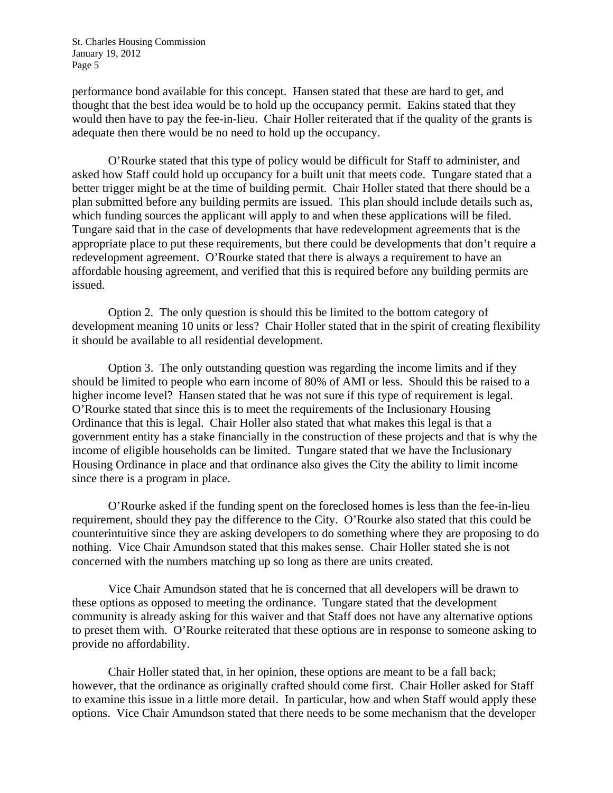performance bond available for this concept. Hansen stated that these are hard to get, and thought that the best idea would be to hold up the occupancy permit. Eakins stated that they would then have to pay the fee-in-lieu. Chair Holler reiterated that if the quality of the grants is adequate then there would be no need to hold up the occupancy.

O'Rourke stated that this type of policy would be difficult for Staff to administer, and asked how Staff could hold up occupancy for a built unit that meets code. Tungare stated that a better trigger might be at the time of building permit. Chair Holler stated that there should be a plan submitted before any building permits are issued. This plan should include details such as, which funding sources the applicant will apply to and when these applications will be filed. Tungare said that in the case of developments that have redevelopment agreements that is the appropriate place to put these requirements, but there could be developments that don't require a redevelopment agreement. O'Rourke stated that there is always a requirement to have an affordable housing agreement, and verified that this is required before any building permits are issued.

Option 2. The only question is should this be limited to the bottom category of development meaning 10 units or less? Chair Holler stated that in the spirit of creating flexibility it should be available to all residential development.

Option 3. The only outstanding question was regarding the income limits and if they should be limited to people who earn income of 80% of AMI or less. Should this be raised to a higher income level? Hansen stated that he was not sure if this type of requirement is legal. O'Rourke stated that since this is to meet the requirements of the Inclusionary Housing Ordinance that this is legal. Chair Holler also stated that what makes this legal is that a government entity has a stake financially in the construction of these projects and that is why the income of eligible households can be limited. Tungare stated that we have the Inclusionary Housing Ordinance in place and that ordinance also gives the City the ability to limit income since there is a program in place.

O'Rourke asked if the funding spent on the foreclosed homes is less than the fee-in-lieu requirement, should they pay the difference to the City. O'Rourke also stated that this could be counterintuitive since they are asking developers to do something where they are proposing to do nothing. Vice Chair Amundson stated that this makes sense. Chair Holler stated she is not concerned with the numbers matching up so long as there are units created.

Vice Chair Amundson stated that he is concerned that all developers will be drawn to these options as opposed to meeting the ordinance. Tungare stated that the development community is already asking for this waiver and that Staff does not have any alternative options to preset them with. O'Rourke reiterated that these options are in response to someone asking to provide no affordability.

Chair Holler stated that, in her opinion, these options are meant to be a fall back; however, that the ordinance as originally crafted should come first. Chair Holler asked for Staff to examine this issue in a little more detail. In particular, how and when Staff would apply these options. Vice Chair Amundson stated that there needs to be some mechanism that the developer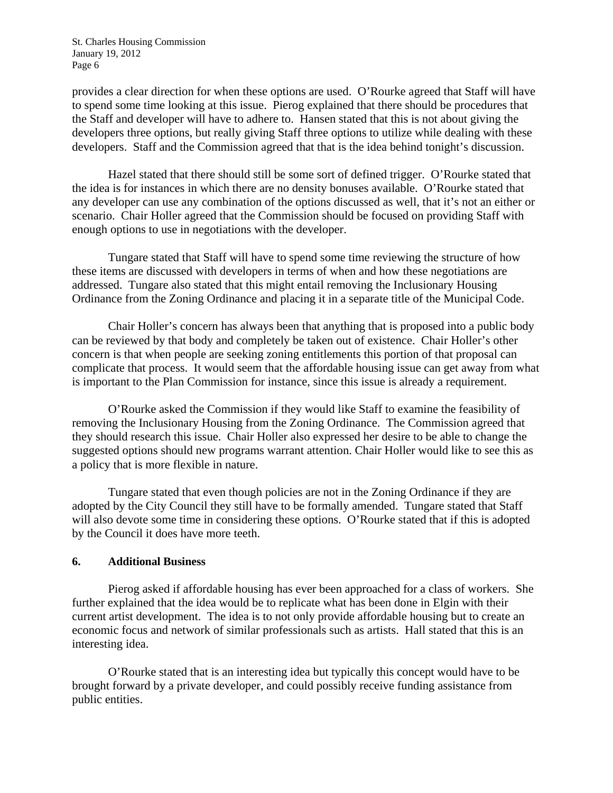provides a clear direction for when these options are used. O'Rourke agreed that Staff will have to spend some time looking at this issue. Pierog explained that there should be procedures that the Staff and developer will have to adhere to. Hansen stated that this is not about giving the developers three options, but really giving Staff three options to utilize while dealing with these developers. Staff and the Commission agreed that that is the idea behind tonight's discussion.

Hazel stated that there should still be some sort of defined trigger. O'Rourke stated that the idea is for instances in which there are no density bonuses available. O'Rourke stated that any developer can use any combination of the options discussed as well, that it's not an either or scenario. Chair Holler agreed that the Commission should be focused on providing Staff with enough options to use in negotiations with the developer.

Tungare stated that Staff will have to spend some time reviewing the structure of how these items are discussed with developers in terms of when and how these negotiations are addressed. Tungare also stated that this might entail removing the Inclusionary Housing Ordinance from the Zoning Ordinance and placing it in a separate title of the Municipal Code.

Chair Holler's concern has always been that anything that is proposed into a public body can be reviewed by that body and completely be taken out of existence. Chair Holler's other concern is that when people are seeking zoning entitlements this portion of that proposal can complicate that process. It would seem that the affordable housing issue can get away from what is important to the Plan Commission for instance, since this issue is already a requirement.

O'Rourke asked the Commission if they would like Staff to examine the feasibility of removing the Inclusionary Housing from the Zoning Ordinance. The Commission agreed that they should research this issue. Chair Holler also expressed her desire to be able to change the suggested options should new programs warrant attention. Chair Holler would like to see this as a policy that is more flexible in nature.

Tungare stated that even though policies are not in the Zoning Ordinance if they are adopted by the City Council they still have to be formally amended. Tungare stated that Staff will also devote some time in considering these options. O'Rourke stated that if this is adopted by the Council it does have more teeth.

### **6. Additional Business**

Pierog asked if affordable housing has ever been approached for a class of workers. She further explained that the idea would be to replicate what has been done in Elgin with their current artist development. The idea is to not only provide affordable housing but to create an economic focus and network of similar professionals such as artists. Hall stated that this is an interesting idea.

O'Rourke stated that is an interesting idea but typically this concept would have to be brought forward by a private developer, and could possibly receive funding assistance from public entities.